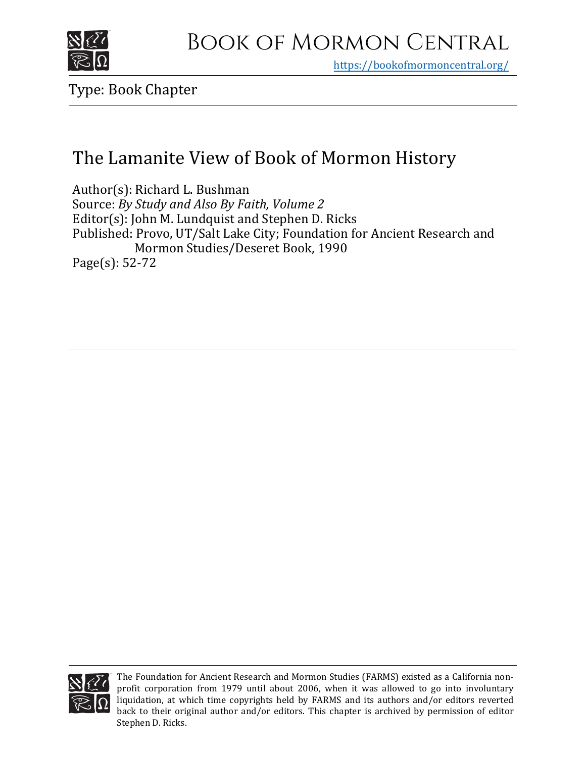

https[://bookofmormoncentral.org/](https://bookofmormoncentral.org/)

Type: Book Chapter

## The Lamanite View of Book of Mormon History

Author(s): Richard L. Bushman Source: *By Study and Also By Faith, Volume 2* Editor(s): John M. Lundquist and Stephen D. Ricks Published: Provo, UT/Salt Lake City; Foundation for Ancient Research and Mormon Studies/Deseret Book, 1990 Page(s): 52-72



The Foundation for Ancient Research and Mormon Studies (FARMS) existed as a California nonprofit corporation from 1979 until about 2006, when it was allowed to go into involuntary liquidation, at which time copyrights held by FARMS and its authors and/or editors reverted back to their original author and/or editors. This chapter is archived by permission of editor Stephen D. Ricks.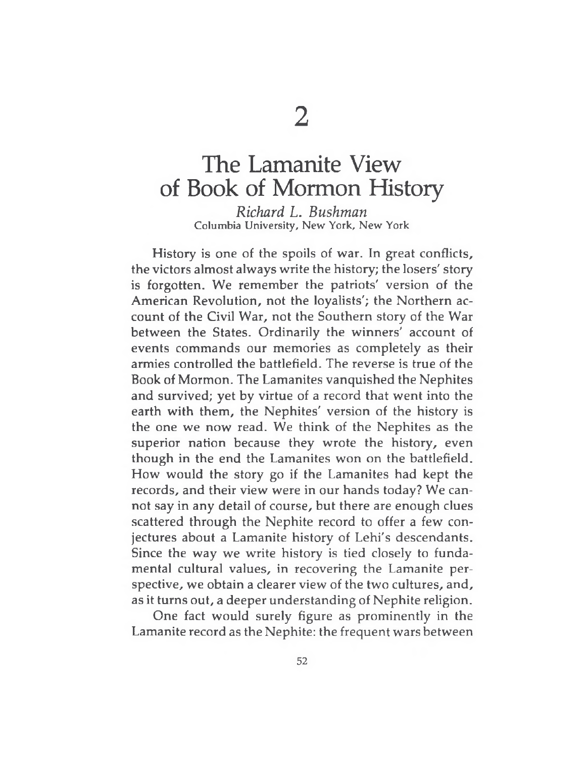# The Lamanite View of Book of Mormon History

*Richard L. Bushman* Columbia University, New York, New York

History is one of the spoils of war. In great conflicts, the victors almost always write the history; the losers' story is forgotten. We remember the patriots' version of the American Revolution, not the loyalists'; the Northern account of the Civil War, not the Southern story of the War between the States. Ordinarily the winners' account of events commands our memories as completely as their armies controlled the battlefield. The reverse is true of the Book of Mormon. The Lamanites vanquished the Nephites and survived; yet by virtue of a record that went into the earth with them, the Nephites' version of the history is the one we now read. We think of the Nephites as the superior nation because they wrote the history, even though in the end the Lamanites won on the battlefield. How would the story go if the Lamanites had kept the records, and their view were in our hands today? We cannot say in any detail of course, but there are enough clues scattered through the Nephite record to offer a few conjectures about a Lamanite history of Lehi's descendants. Since the way we write history is tied closely to fundamental cultural values, in recovering the Lamanite perspective, we obtain a clearer view of the two cultures, and, as it turns out, a deeper understanding of Nephite religion.

One fact would surely figure as prominently in the Lamanite record as the Nephite: the frequent wars between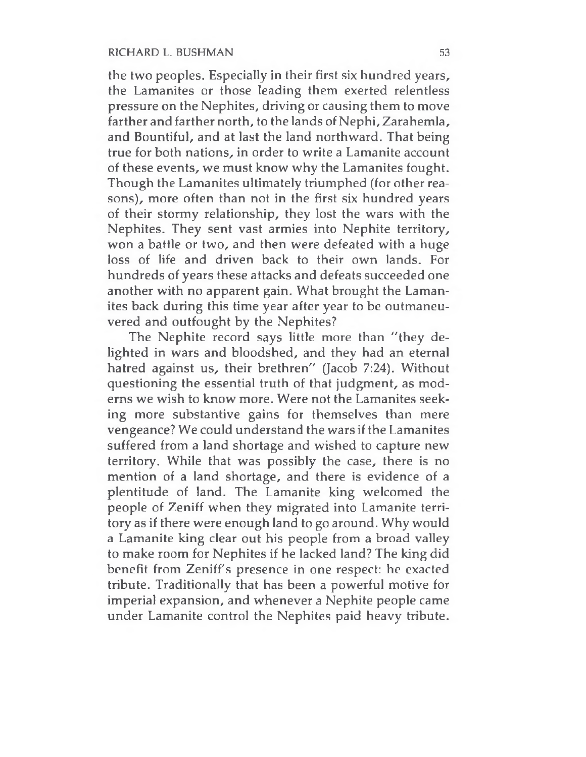the two peoples. Especially in their first six hundred years, the Lamanites or those leading them exerted relentless pressure on the Nephites, driving or causing them to move farther and farther north, to the lands of Nephi, Zarahemla, and Bountiful, and at last the land northward. That being true for both nations, in order to write a Lamanite account of these events, we must know why the Lamanites fought. Though the Lamanites ultimately triumphed (for other reasons), more often than not in the first six hundred years of their stormy relationship, they lost the wars with the Nephites. They sent vast armies into Nephite territory, won a battle or two, and then were defeated with a huge loss of life and driven back to their own lands. For hundreds of years these attacks and defeats succeeded one another with no apparent gain. What brought the Lamanites back during this time year after year to be outmaneuvered and outfought by the Nephites?

The Nephite record says little more than "they delighted in wars and bloodshed, and they had an eternal hatred against us, their brethren" (Jacob 7:24). Without questioning the essential truth of that judgment, as moderns we wish to know more. Were not the Lamanites seeking more substantive gains for themselves than mere vengeance? We could understand the wars if the Lamanites suffered from a land shortage and wished to capture new territory. While that was possibly the case, there is no mention of a land shortage, and there is evidence of a plentitude of land. The Lamanite king welcomed the people of Zeniff when they migrated into Lamanite territory as if there were enough land to go around. Why would a Lamanite king clear out his people from a broad valley to make room for Nephites if he lacked land? The king did benefit from Zeniff's presence in one respect: he exacted tribute. Traditionally that has been a powerful motive for imperial expansion, and whenever a Nephite people came under Lamanite control the Nephites paid heavy tribute.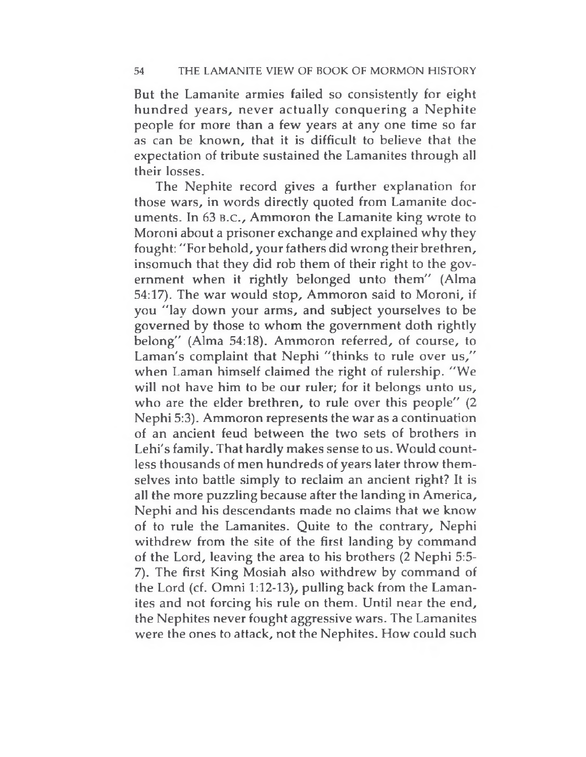But the Lamanite armies failed so consistently for eight hundred years, never actually conquering a Nephite people for more than a few years at any one time so far as can be known, that it is difficult to believe that the expectation of tribute sustained the Lamanites through all their losses.

The Nephite record gives a further explanation for those wars, in words directly quoted from Lamanite documents. In 63 B.C., Ammoron the Lamanite king wrote to Moroni about a prisoner exchange and explained why they fought: "For behold, your fathers did wrong their brethren, insomuch that they did rob them of their right to the government when it rightly belonged unto them" (Alma 54:17). The war would stop, Ammoron said to Moroni, if you "lay down your arms, and subject yourselves to be governed by those to whom the government doth rightly belong" (Alma 54:18). Ammoron referred, of course, to Laman's complaint that Nephi "thinks to rule over us," when Laman himself claimed the right of rulership. "We will not have him to be our ruler; for it belongs unto us, who are the elder brethren, to rule over this people" (2) Nephi 5:3). Ammoron represents the war as a continuation of an ancient feud between the two sets of brothers in Lehi's family. That hardly makes sense to us. Would countless thousands of men hundreds of years later throw themselves into battle simply to reclaim an ancient right? It is all the more puzzling because after the landing in America, Nephi and his descendants made no claims that we know of to rule the Lamanites. Quite to the contrary, Nephi withdrew from the site of the first landing by command of the Lord, leaving the area to his brothers (2 Nephi 5:5- 7). The first King Mosiah also withdrew by command of the Lord (cf. Omni 1:12-13), pulling back from the Lamanites and not forcing his rule on them. Until near the end, the Nephites never fought aggressive wars. The Lamanites were the ones to attack, not the Nephites. How could such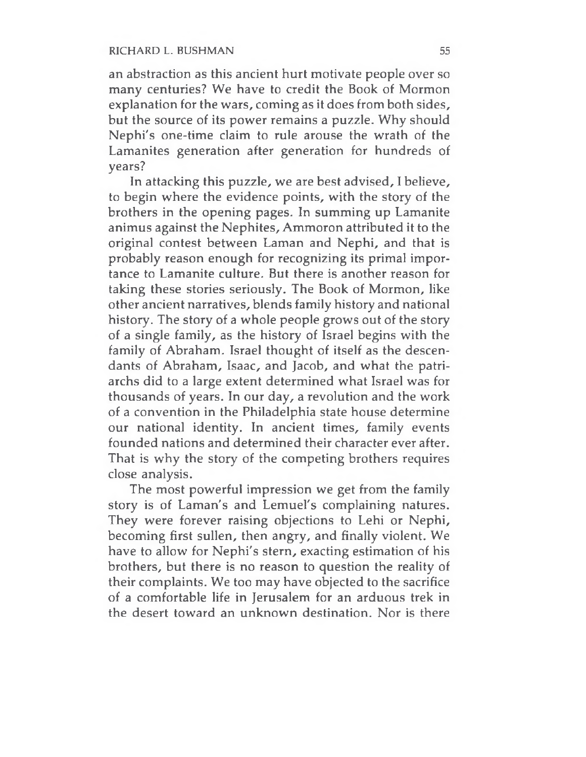an abstraction as this ancient hurt motivate people over so many centuries? We have to credit the Book of Mormon explanation for the wars, coming as it does from both sides, but the source of its power remains a puzzle. Why should Nephi's one-time claim to rule arouse the wrath of the Lamanites generation after generation for hundreds of years?

In attacking this puzzle, we are best advised, I believe, to begin where the evidence points, with the story of the brothers in the opening pages. In summing up Lamanite animus against the Nephites, Ammoron attributed it to the original contest between Laman and Nephi, and that is probably reason enough for recognizing its primal importance to Lamanite culture. But there is another reason for taking these stories seriously. The Book of Mormon, like other ancient narratives, blends family history and national history. The story of a whole people grows out of the story of a single family, as the history of Israel begins with the family of Abraham. Israel thought of itself as the descendants of Abraham, Isaac, and Jacob, and what the patriarchs did to a large extent determined what Israel was for thousands of years. In our day, a revolution and the work of a convention in the Philadelphia state house determine our national identity. In ancient times, family events founded nations and determined their character ever after. That is why the story of the competing brothers requires close analysis.

The most powerful impression we get from the family story is of Laman's and Lemuel's complaining natures. They were forever raising objections to Lehi or Nephi, becoming first sullen, then angry, and finally violent. We have to allow for Nephi's stern, exacting estimation of his brothers, but there is no reason to question the reality of their complaints. We too may have objected to the sacrifice of a comfortable life in Jerusalem for an arduous trek in the desert toward an unknown destination. Nor is there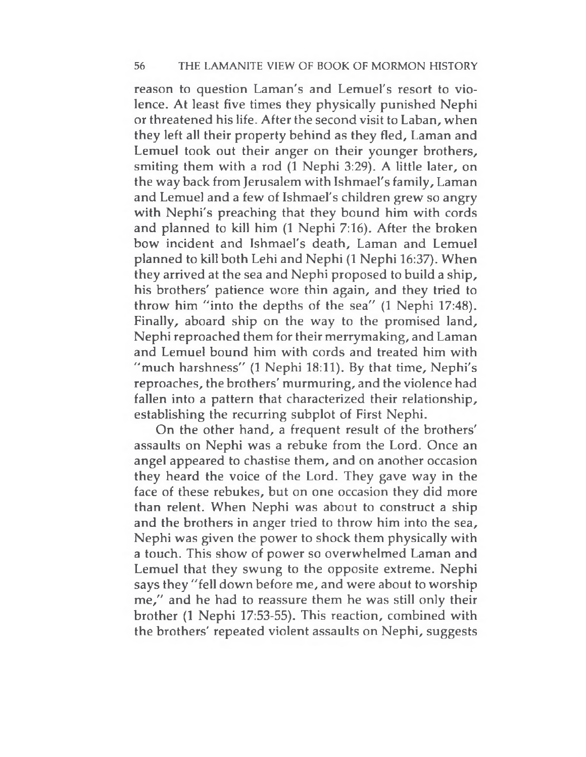reason to question Laman's and Lemuel's resort to violence. At least five times they physically punished Nephi or threatened his life. After the second visit to Laban, when they left all their property behind as they fled, Laman and Lemuel took out their anger on their younger brothers, smiting them with a rod (1 Nephi 3:29). A little later, on the way back from Jerusalem with Ishmael's family, Laman and Lemuel and a few of Ishmael's children grew so angry with Nephi's preaching that they bound him with cords and planned to kill him (1 Nephi 7:16). After the broken bow incident and Ishmael's death, Laman and Lemuel planned to kill both Lehi and Nephi (1 Nephi 16:37). When they arrived at the sea and Nephi proposed to build a ship, his brothers' patience wore thin again, and they tried to throw him "into the depths of the sea" (1 Nephi 17:48). Finally, aboard ship on the way to the promised land, Nephi reproached them for their merrymaking, and Laman and Lemuel bound him with cords and treated him with "much harshness" (1 Nephi 18:11). By that time, Nephi's reproaches, the brothers' murmuring, and the violence had fallen into a pattern that characterized their relationship, establishing the recurring subplot of First Nephi.

On the other hand, a frequent result of the brothers' assaults on Nephi was a rebuke from the Lord. Once an angel appeared to chastise them, and on another occasion they heard the voice of the Lord. They gave way in the face of these rebukes, but on one occasion they did more than relent. When Nephi was about to construct a ship and the brothers in anger tried to throw him into the sea, Nephi was given the power to shock them physically with a touch. This show of power so overwhelmed Laman and Lemuel that they swung to the opposite extreme. Nephi says they "fell down before me, and were about to worship me," and he had to reassure them he was still only their brother (1 Nephi 17:53-55). This reaction, combined with the brothers' repeated violent assaults on Nephi, suggests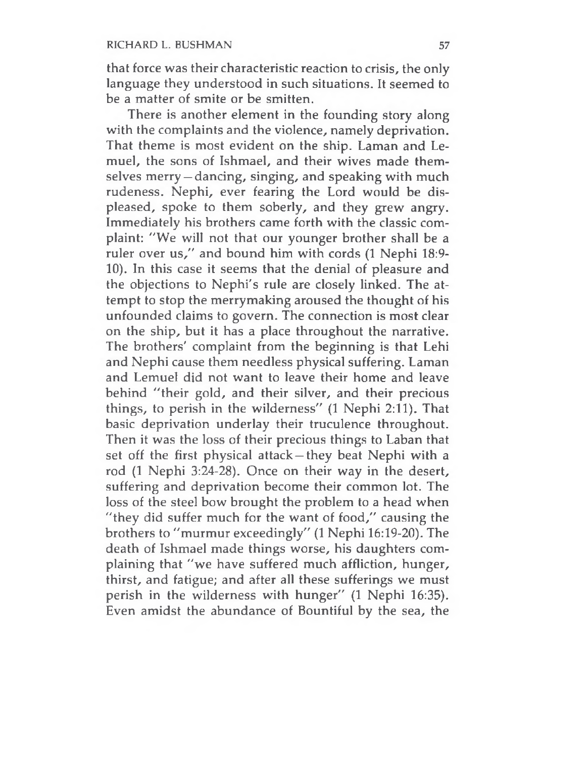that force was their characteristic reaction to crisis, the only language they understood in such situations. It seemed to be a matter of smite or be smitten.

There is another element in the founding story along with the complaints and the violence, namely deprivation. That theme is most evident on the ship. Laman and Lemuel, the sons of Ishmael, and their wives made themselves merry— dancing, singing, and speaking with much rudeness. Nephi, ever fearing the Lord would be displeased, spoke to them soberly, and they grew angry. Immediately his brothers came forth with the classic complaint: "We will not that our younger brother shall be a ruler over us," and bound him with cords (1 Nephi 18:9- 10). In this case it seems that the denial of pleasure and the objections to Nephi's rule are closely linked. The attempt to stop the merrymaking aroused the thought of his unfounded claims to govern. The connection is most clear on the ship, but it has a place throughout the narrative. The brothers' complaint from the beginning is that Lehi and Nephi cause them needless physical suffering. Laman and Lemuel did not want to leave their home and leave behind "their gold, and their silver, and their precious things, to perish in the wilderness" (1 Nephi 2:11). That basic deprivation underlay their truculence throughout. Then it was the loss of their precious things to Laban that set off the first physical attack —they beat Nephi with a rod (1 Nephi 3:24-28). Once on their way in the desert, suffering and deprivation become their common lot. The loss of the steel bow brought the problem to a head when "they did suffer much for the want of food," causing the brothers to "murmur exceedingly" (1 Nephi 16:19-20). The death of Ishmael made things worse, his daughters complaining that "we have suffered much affliction, hunger, thirst, and fatigue; and after all these sufferings we must perish in the wilderness with hunger" (1 Nephi 16:35). Even amidst the abundance of Bountiful by the sea, the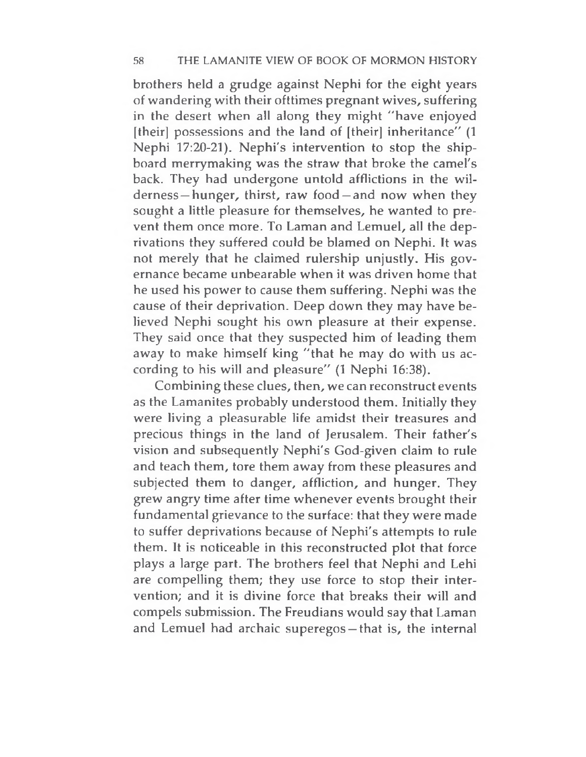brothers held a grudge against Nephi for the eight years of wandering with their ofttimes pregnant wives, suffering in the desert when all along they might "have enjoyed [their] possessions and the land of [their] inheritance" (1 Nephi 17:20-21). Nephi's intervention to stop the shipboard merrymaking was the straw that broke the camel's back. They had undergone untold afflictions in the wilderness-hunger, thirst, raw food —and now when they sought a little pleasure for themselves, he wanted to prevent them once more. To Laman and Lemuel, all the deprivations they suffered could be blamed on Nephi. It was not merely that he claimed rulership unjustly. His governance became unbearable when it was driven home that he used his power to cause them suffering. Nephi was the cause of their deprivation. Deep down they may have believed Nephi sought his own pleasure at their expense. They said once that they suspected him of leading them away to make himself king "that he may do with us according to his will and pleasure" (1 Nephi 16:38).

Combining these clues, then, we can reconstruct events as the Lamanites probably understood them. Initially they were living a pleasurable life amidst their treasures and precious things in the land of Jerusalem. Their father's vision and subsequently Nephi's God-given claim to rule and teach them, tore them away from these pleasures and subjected them to danger, affliction, and hunger. They grew angry time after time whenever events brought their fundamental grievance to the surface: that they were made to suffer deprivations because of Nephi's attempts to rule them. It is noticeable in this reconstructed plot that force plays a large part. The brothers feel that Nephi and Lehi are compelling them; they use force to stop their intervention; and it is divine force that breaks their will and compels submission. The Freudians would say that Laman and Lemuel had archaic superegos —that is, the internal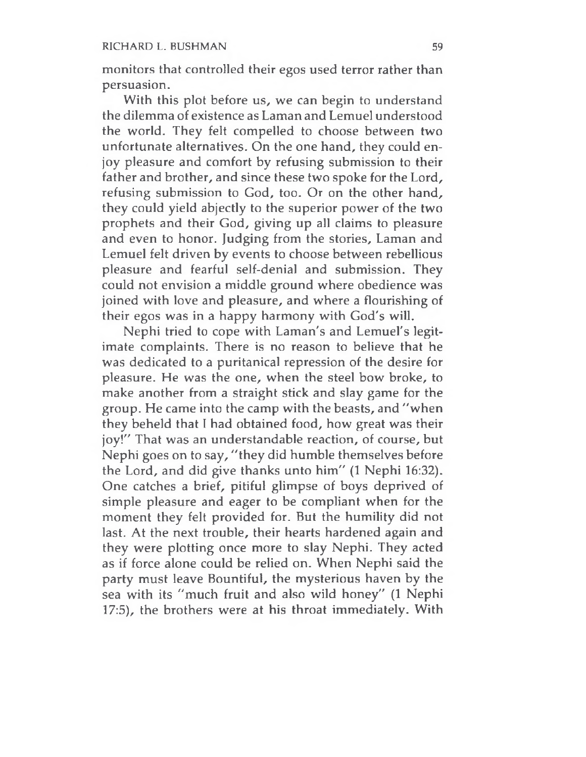monitors that controlled their egos used terror rather than persuasion.

With this plot before us, we can begin to understand the dilemma of existence as Laman and Lemuel understood the world. They felt compelled to choose between two unfortunate alternatives. On the one hand, they could enjoy pleasure and comfort by refusing submission to their father and brother, and since these two spoke for the Lord, refusing submission to God, too. Or on the other hand, they could yield abjectly to the superior power of the two prophets and their God, giving up all claims to pleasure and even to honor. Judging from the stories, Laman and Lemuel felt driven by events to choose between rebellious pleasure and fearful self-denial and submission. They could not envision a middle ground where obedience was joined with love and pleasure, and where a flourishing of their egos was in a happy harmony with God's will.

Nephi tried to cope with Laman's and Lemuel's legitimate complaints. There is no reason to believe that he was dedicated to a puritanical repression of the desire for pleasure. He was the one, when the steel bow broke, to make another from a straight stick and slay game for the group. He came into the camp with the beasts, and "when they beheld that I had obtained food, how great was their joy!" That was an understandable reaction, of course, but Nephi goes on to say, "they did humble themselves before the Lord, and did give thanks unto him" (1 Nephi 16:32). One catches a brief, pitiful glimpse of boys deprived of simple pleasure and eager to be compliant when for the moment they felt provided for. But the humility did not last. At the next trouble, their hearts hardened again and they were plotting once more to slay Nephi. They acted as if force alone could be relied on. When Nephi said the party must leave Bountiful, the mysterious haven by the sea with its "much fruit and also wild honey" (1 Nephi 17:5), the brothers were at his throat immediately. With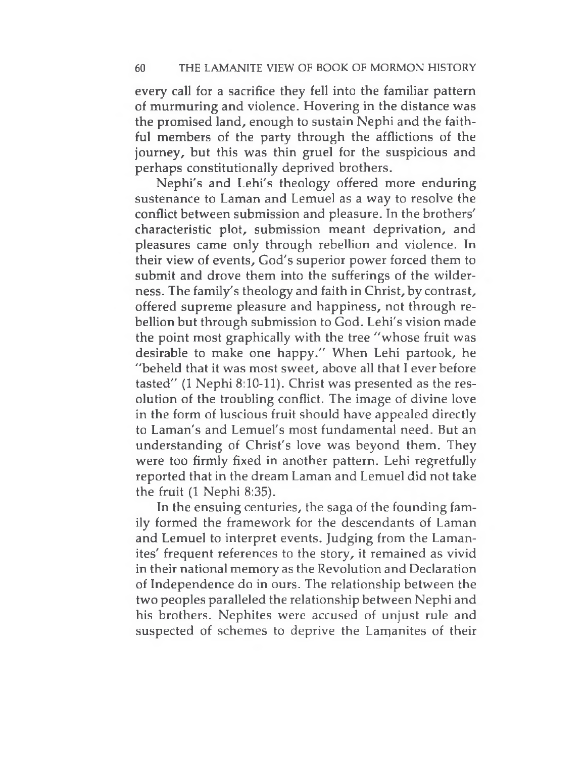#### 60 THE LAMANITE VIEW OF BOOK OF MORMON HISTORY

every call for a sacrifice they fell into the familiar pattern of murmuring and violence. Hovering in the distance was the promised land, enough to sustain Nephi and the faithful members of the party through the afflictions of the journey, but this was thin gruel for the suspicious and perhaps constitutionally deprived brothers.

Nephi's and Lehi's theology offered more enduring sustenance to Laman and Lemuel as a way to resolve the conflict between submission and pleasure. In the brothers' characteristic plot, submission meant deprivation, and pleasures came only through rebellion and violence. In their view of events, God's superior power forced them to submit and drove them into the sufferings of the wilderness. The family's theology and faith in Christ, by contrast, offered supreme pleasure and happiness, not through rebellion but through submission to God. Lehi's vision made the point most graphically with the tree "whose fruit was desirable to make one happy." When Lehi partook, he "beheld that it was most sweet, above all that <sup>I</sup> ever before tasted" (1 Nephi 8:10-11). Christ was presented as the resolution of the troubling conflict. The image of divine love in the form of luscious fruit should have appealed directly to Laman's and Lemuel's most fundamental need. But an understanding of Christ's love was beyond them. They were too firmly fixed in another pattern. Lehi regretfully reported that in the dream Laman and Lemuel did not take the fruit (1 Nephi 8:35).

In the ensuing centuries, the saga of the founding family formed the framework for the descendants of Laman and Lemuel to interpret events. Judging from the Lamanites' frequent references to the story, it remained as vivid in their national memory as the Revolution and Declaration of Independence do in ours. The relationship between the two peoples paralleled the relationship between Nephi and his brothers. Nephites were accused of unjust rule and suspected of schemes to deprive the Lamanites of their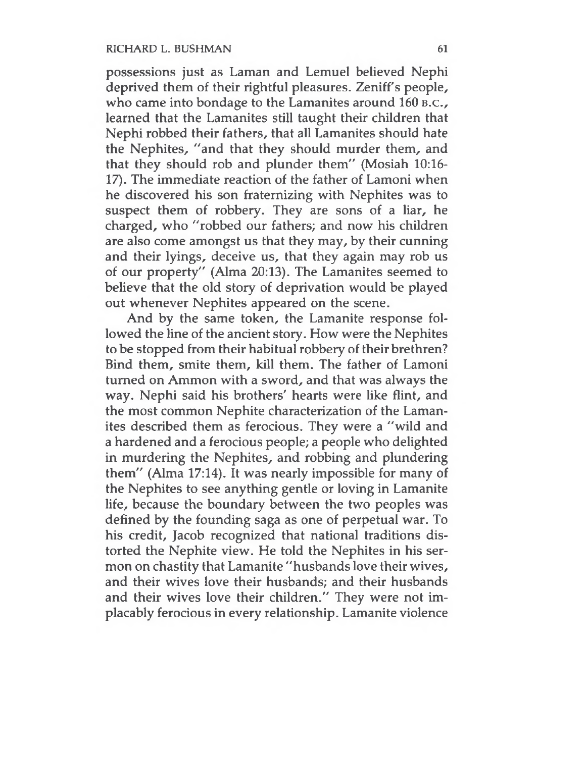possessions just as Laman and Lemuel believed Nephi deprived them of their rightful pleasures. Zeniff's people, who came into bondage to the Lamanites around 160 B.C., learned that the Lamanites still taught their children that Nephi robbed their fathers, that all Lamanites should hate the Nephites, "and that they should murder them, and that they should rob and plunder them" (Mosiah 10:16- 17). The immediate reaction of the father of Lamoni when he discovered his son fraternizing with Nephites was to suspect them of robbery. They are sons of a liar, he charged, who "robbed our fathers; and now his children are also come amongst us that they may, by their cunning and their lyings, deceive us, that they again may rob us of our property" (Alma 20:13). The Lamanites seemed to believe that the old story of deprivation would be played out whenever Nephites appeared on the scene.

And by the same token, the Lamanite response followed the line of the ancient story. How were the Nephites to be stopped from their habitual robbery of their brethren? Bind them, smite them, kill them. The father of Lamoni turned on Ammon with a sword, and that was always the way. Nephi said his brothers' hearts were like flint, and the most common Nephite characterization of the Lamanites described them as ferocious. They were a "wild and a hardened and a ferocious people; a people who delighted in murdering the Nephites, and robbing and plundering them" (Alma 17:14). It was nearly impossible for many of the Nephites to see anything gentle or loving in Lamanite life, because the boundary between the two peoples was defined by the founding saga as one of perpetual war. To his credit, Jacob recognized that national traditions distorted the Nephite view. He told the Nephites in his sermon on chastity that Lamanite "husbands love their wives, and their wives love their husbands; and their husbands and their wives love their children." They were not implacably ferocious in every relationship. Lamanite violence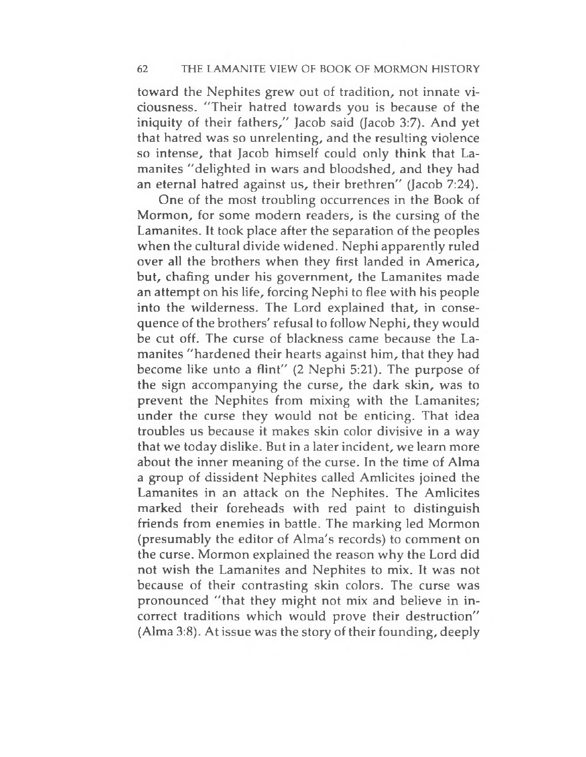toward the Nephites grew out of tradition, not innate viciousness. "Their hatred towards you is because of the iniquity of their fathers," Jacob said (Jacob 3:7). And yet that hatred was so unrelenting, and the resulting violence so intense, that Jacob himself could only think that Lamanites "delighted in wars and bloodshed, and they had an eternal hatred against us, their brethren" (Jacob 7:24).

One of the most troubling occurrences in the Book of Mormon, for some modern readers, is the cursing of the Lamanites. It took place after the separation of the peoples when the cultural divide widened. Nephi apparently ruled over all the brothers when they first landed in America, but, chafing under his government, the Lamanites made an attempt on his life, forcing Nephi to flee with his people into the wilderness. The Lord explained that, in consequence of the brothers' refusal to follow Nephi, they would be cut off. The curse of blackness came because the Lamanites "hardened their hearts against him, that they had become like unto a flint" (2 Nephi 5:21). The purpose of the sign accompanying the curse, the dark skin, was to prevent the Nephites from mixing with the Lamanites; under the curse they would not be enticing. That idea troubles us because it makes skin color divisive in a way that we today dislike. But in a later incident, we learn more about the inner meaning of the curse. In the time of Alma a group of dissident Nephites called Amlicites joined the Lamanites in an attack on the Nephites. The Amlicites marked their foreheads with red paint to distinguish friends from enemies in battle. The marking led Mormon (presumably the editor of Alma's records) to comment on the curse. Mormon explained the reason why the Lord did not wish the Lamanites and Nephites to mix. It was not because of their contrasting skin colors. The curse was pronounced "that they might not mix and believe in incorrect traditions which would prove their destruction" (Alma 3:8). At issue was the story of their founding, deeply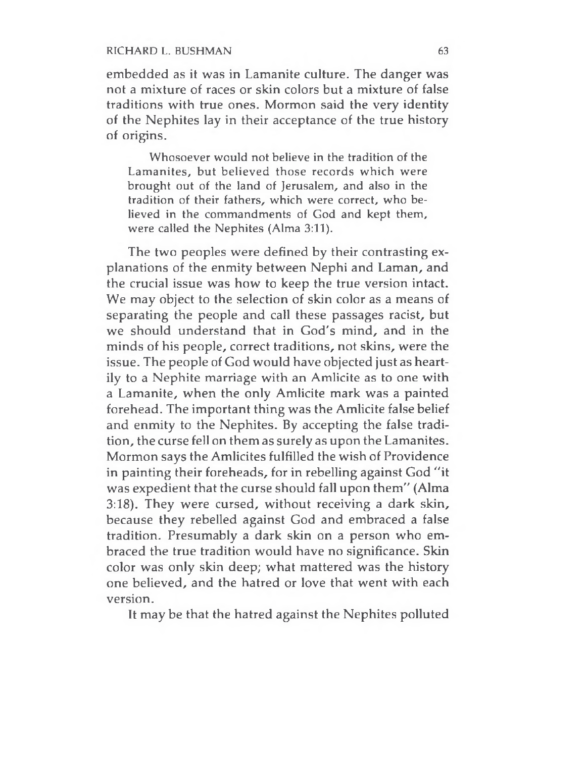embedded as it was in Lamanite culture. The danger was not a mixture of races or skin colors but a mixture of false traditions with true ones. Mormon said the very identity of the Nephites lay in their acceptance of the true history of origins.

Whosoever would not believe in the tradition of the Lamanites, but believed those records which were brought out of the land of Jerusalem, and also in the tradition of their fathers, which were correct, who believed in the commandments of God and kept them, were called the Nephites (Alma 3:11).

The two peoples were defined by their contrasting explanations of the enmity between Nephi and Laman, and the crucial issue was how to keep the true version intact. We may object to the selection of skin color as a means of separating the people and call these passages racist, but we should understand that in God's mind, and in the minds of his people, correct traditions, not skins, were the issue. The people of God would have objected just as heartily to a Nephite marriage with an Amlicite as to one with a Lamanite, when the only Amlicite mark was a painted forehead. The important thing was the Amlicite false belief and enmity to the Nephites. By accepting the false tradition, the curse fell on them as surely as upon the Lamanites. Mormon says the Amlicites fulfilled the wish of Providence in painting their foreheads, for in rebelling against God "it was expedient that the curse should fall upon them" (Alma 3:18). They were cursed, without receiving a dark skin, because they rebelled against God and embraced a false tradition. Presumably a dark skin on a person who embraced the true tradition would have no significance. Skin color was only skin deep; what mattered was the history one believed, and the hatred or love that went with each version.

It may be that the hatred against the Nephites polluted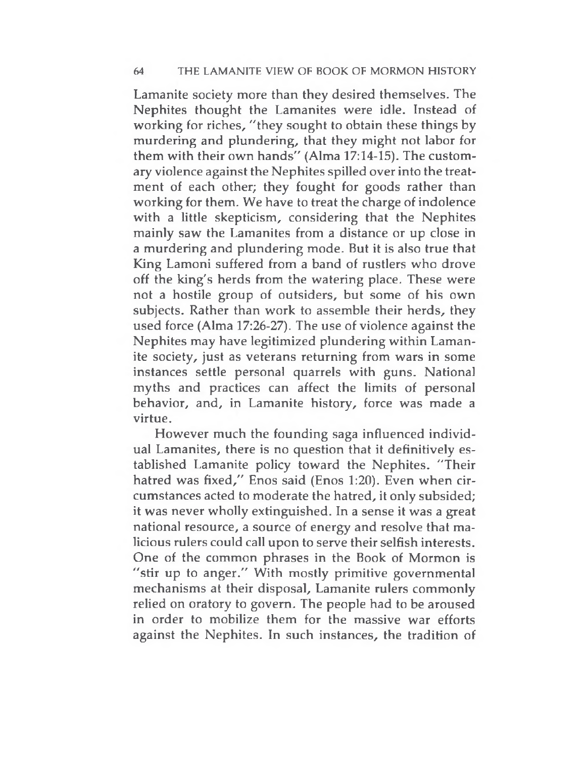Lamanite society more than they desired themselves. The Nephites thought the Lamanites were idle. Instead of working for riches, "they sought to obtain these things by murdering and plundering, that they might not labor for them with their own hands" (Alma 17:14-15). The customary violence against the Nephites spilled over into the treatment of each other; they fought for goods rather than working for them. We have to treat the charge of indolence with a little skepticism, considering that the Nephites mainly saw the Lamanites from a distance or up close in a murdering and plundering mode. But it is also true that King Lamoni suffered from a band of rustlers who drove off the king's herds from the watering place. These were not a hostile group of outsiders, but some of his own subjects. Rather than work to assemble their herds, they used force (Alma 17:26-27). The use of violence against the Nephites may have legitimized plundering within Lamanite society, just as veterans returning from wars in some instances settle personal quarrels with guns. National myths and practices can affect the limits of personal behavior, and, in Lamanite history, force was made a virtue.

However much the founding saga influenced individual Lamanites, there is no question that it definitively established Lamanite policy toward the Nephites. "Their hatred was fixed," Enos said (Enos 1:20). Even when circumstances acted to moderate the hatred, it only subsided; it was never wholly extinguished. In a sense it was a great national resource, a source of energy and resolve that malicious rulers could call upon to serve their selfish interests. One of the common phrases in the Book of Mormon is "stir up to anger." With mostly primitive governmental mechanisms at their disposal, Lamanite rulers commonly relied on oratory to govern. The people had to be aroused in order to mobilize them for the massive war efforts against the Nephites. In such instances, the tradition of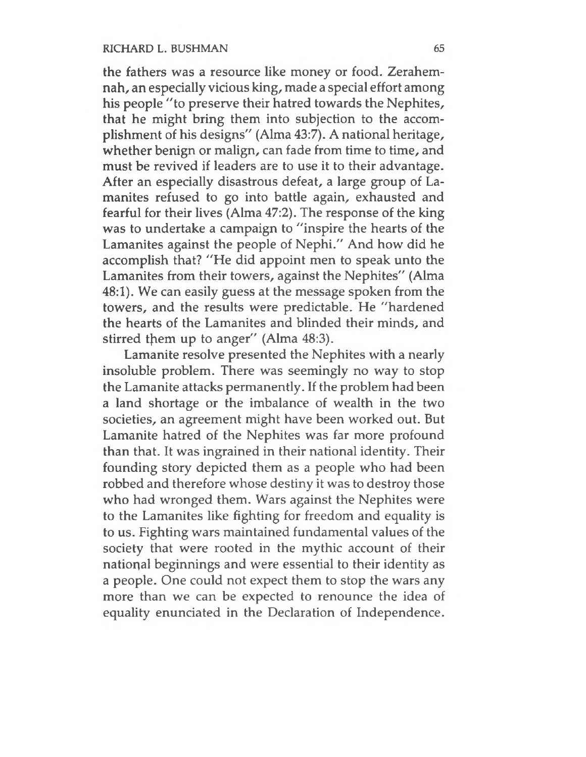#### RICHARD L. BUSHMAN 65

the fathers was a resource like money or food. Zerahemnah, an especially vicious king, made a special effort among his people "to preserve their hatred towards the Nephites, that he might bring them into subjection to the accomplishment of his designs" (Alma 43:7). A national heritage, whether benign or malign, can fade from time to time, and must be revived if leaders are to use it to their advantage. After an especially disastrous defeat, a large group of Lamanites refused to go into battle again, exhausted and fearful for their lives (Alma 47:2). The response of the king was to undertake a campaign to "inspire the hearts of the Lamanites against the people of Nephi." And how did he accomplish that? "He did appoint men to speak unto the Lamanites from their towers, against the Nephites" (Alma 48:1). We can easily guess at the message spoken from the towers, and the results were predictable. He "hardened the hearts of the Lamanites and blinded their minds, and stirred them up to anger" (Alma 48:3).

Lamanite resolve presented the Nephites with a nearly insoluble problem. There was seemingly no way to stop the Lamanite attacks permanently. If the problem had been a land shortage or the imbalance of wealth in the two societies, an agreement might have been worked out. But Lamanite hatred of the Nephites was far more profound than that. It was ingrained in their national identity. Their founding story depicted them as a people who had been robbed and therefore whose destiny it was to destroy those who had wronged them. Wars against the Nephites were to the Lamanites like fighting for freedom and equality is to us. Fighting wars maintained fundamental values of the society that were rooted in the mythic account of their national beginnings and were essential to their identity as a people. One could not expect them to stop the wars any more than we can be expected to renounce the idea of equality enunciated in the Declaration of Independence.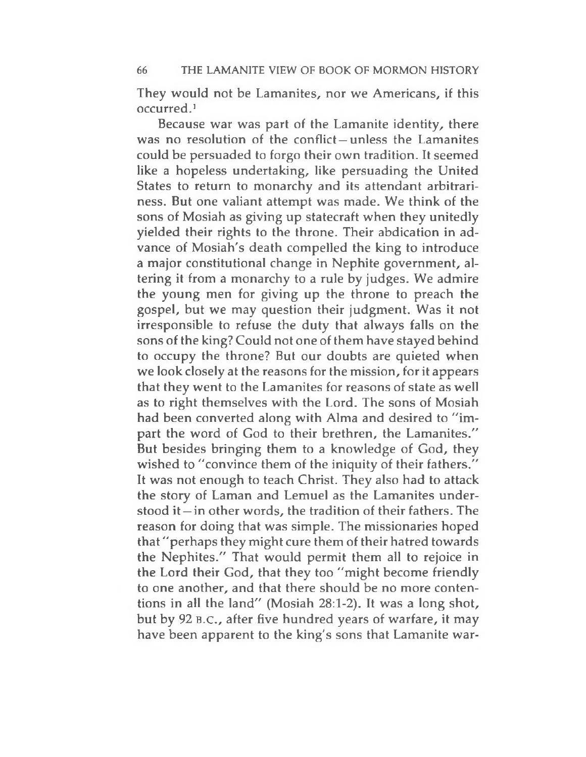66 THE LAMANITE VIEW OF BOOK OF MORMON HISTORY

They would not be Lamanites, nor we Americans, if this occurred.<sup>1</sup>

Because war was part of the Lamanite identity, there was no resolution of the conflict—unless the Lamanites could be persuaded to forgo their own tradition. It seemed like a hopeless undertaking, like persuading the United States to return to monarchy and its attendant arbitrariness. But one valiant attempt was made. We think of the sons of Mosiah as giving up statecraft when they unitedly yielded their rights to the throne. Their abdication in advance of Mosiah's death compelled the king to introduce a major constitutional change in Nephite government, altering it from a monarchy to a rule by judges. We admire the young men for giving up the throne to preach the gospel, but we may question their judgment. Was it not irresponsible to refuse the duty that always falls on the sons of the king? Could not one of them have stayed behind to occupy the throne? But our doubts are quieted when we look closely at the reasons for the mission, for it appears that they went to the Lamanites for reasons of state as well as to right themselves with the Lord. The sons of Mosiah had been converted along with Alma and desired to "impart the word of God to their brethren, the Lamanites." But besides bringing them to a knowledge of God, they wished to "convince them of the iniquity of their fathers." It was not enough to teach Christ. They also had to attack the story of Laman and Lemuel as the Lamanites understood it —in other words, the tradition of their fathers. The reason for doing that was simple. The missionaries hoped that "perhaps they might cure them of their hatred towards the Nephites." That would permit them all to rejoice in the Lord their God, that they too "might become friendly to one another, and that there should be no more contentions in all the land" (Mosiah 28:1-2). It was a long shot, but by 92 b.c., after five hundred years of warfare, it may have been apparent to the king's sons that Lamanite war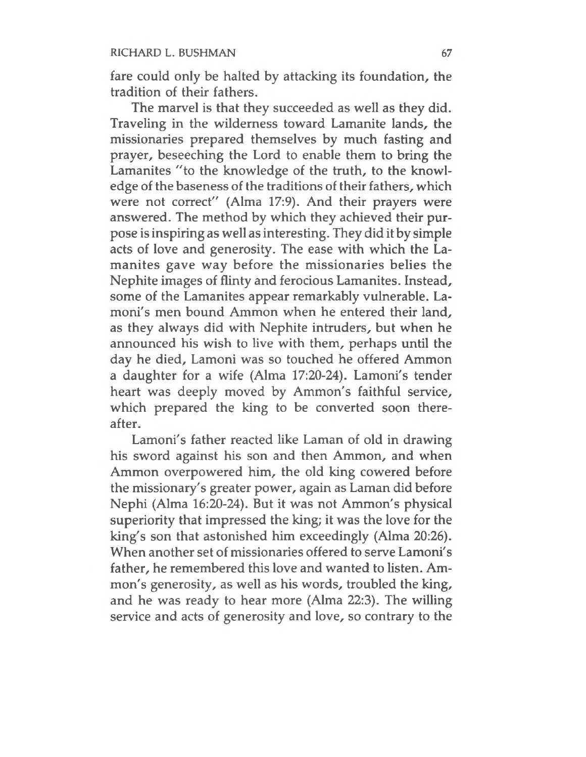fare could only be halted by attacking its foundation, the tradition of their fathers.

The marvel is that they succeeded as well as they did. Traveling in the wilderness toward Lamanite lands, the missionaries prepared themselves by much fasting and prayer, beseeching the Lord to enable them to bring the Lamanites "to the knowledge of the truth, to the knowledge of the baseness of the traditions of their fathers, which were not correct" (Alma 17:9). And their prayers were answered. The method by which they achieved their purpose is inspiring as well as interesting. They did it by simple acts of love and generosity. The ease with which the Lamanites gave way before the missionaries belies the Nephite images of flinty and ferocious Lamanites. Instead, some of the Lamanites appear remarkably vulnerable. Lamoni's men bound Ammon when he entered their land, as they always did with Nephite intruders, but when he announced his wish to live with them, perhaps until the day he died, Lamoni was so touched he offered Ammon a daughter for a wife (Alma 17:20-24). Lamoni's tender heart was deeply moved by Ammon's faithful service, which prepared the king to be converted soon thereafter.

Lamoni's father reacted like Laman of old in drawing his sword against his son and then Ammon, and when Ammon overpowered him, the old king cowered before the missionary's greater power, again as Laman did before Nephi (Alma 16:20-24). But it was not Ammon's physical superiority that impressed the king; it was the love for the king's son that astonished him exceedingly (Alma 20:26). When another set of missionaries offered to serve Lamoni's father, he remembered this love and wanted to listen. Ammon's generosity, as well as his words, troubled the king, and he was ready to hear more (Alma 22:3). The willing service and acts of generosity and love, so contrary to the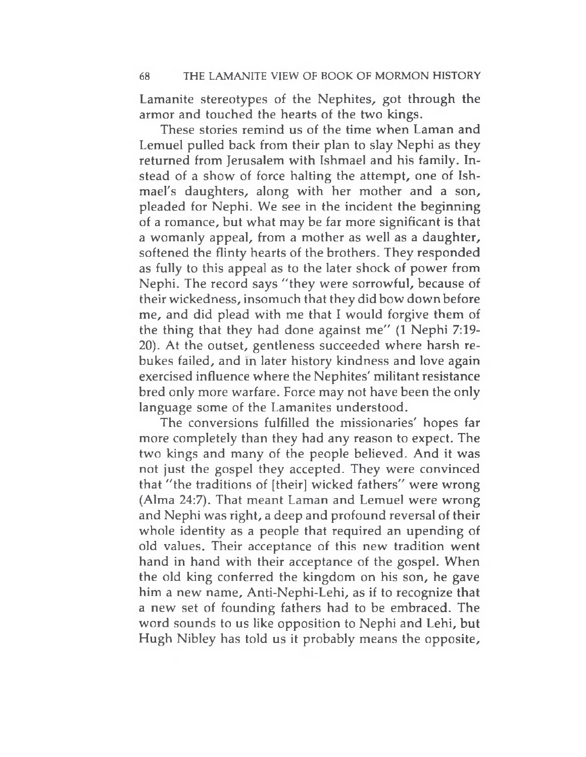Lamanite stereotypes of the Nephites, got through the armor and touched the hearts of the two kings.

These stories remind us of the time when Laman and Lemuel pulled back from their plan to slay Nephi as they returned from Jerusalem with Ishmael and his family. Instead of a show of force halting the attempt, one of Ishmael's daughters, along with her mother and a son, pleaded for Nephi. We see in the incident the beginning of a romance, but what may be far more significant is that a womanly appeal, from a mother as well as a daughter, softened the flinty hearts of the brothers. They responded as fully to this appeal as to the later shock of power from Nephi. The record says "they were sorrowful, because of their wickedness, insomuch that they did bow down before me, and did plead with me that I would forgive them of the thing that they had done against me" (1 Nephi 7:19- 20). At the outset, gentleness succeeded where harsh rebukes failed, and in later history kindness and love again exercised influence where the Nephites' militant resistance bred only more warfare. Force may not have been the only language some of the Lamanites understood.

The conversions fulfilled the missionaries' hopes far more completely than they had any reason to expect. The two kings and many of the people believed. And it was not just the gospel they accepted. They were convinced that "the traditions of [their] wicked fathers" were wrong (Alma 24:7). That meant Laman and Lemuel were wrong and Nephi was right, a deep and profound reversal of their whole identity as a people that required an upending of old values. Their acceptance of this new tradition went hand in hand with their acceptance of the gospel. When the old king conferred the kingdom on his son, he gave him a new name, Anti-Nephi-Lehi, as if to recognize that a new set of founding fathers had to be embraced. The word sounds to us like opposition to Nephi and Lehi, but Hugh Nibley has told us it probably means the opposite,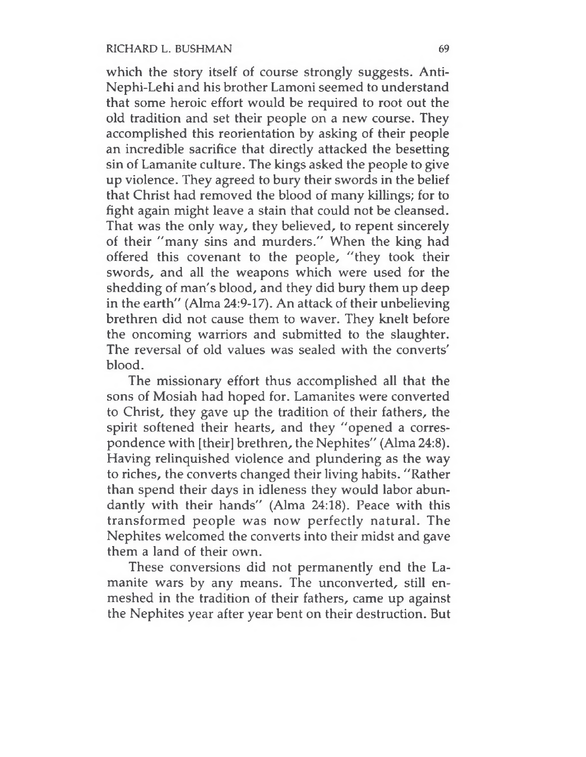#### RICHARD L. BUSHMAN 69

which the story itself of course strongly suggests. Anti-Nephi-Lehi and his brother Lamoni seemed to understand that some heroic effort would be required to root out the old tradition and set their people on a new course. They accomplished this reorientation by asking of their people an incredible sacrifice that directly attacked the besetting sin of Lamanite culture. The kings asked the people to give up violence. They agreed to bury their swords in the belief that Christ had removed the blood of many killings; for to fight again might leave a stain that could not be cleansed. That was the only way, they believed, to repent sincerely of their "many sins and murders." When the king had offered this covenant to the people, "they took their swords, and all the weapons which were used for the shedding of man's blood, and they did bury them up deep in the earth" (Alma 24:9-17). An attack of their unbelieving brethren did not cause them to waver. They knelt before the oncoming warriors and submitted to the slaughter. The reversal of old values was sealed with the converts' blood.

The missionary effort thus accomplished all that the sons of Mosiah had hoped for. Lamanites were converted to Christ, they gave up the tradition of their fathers, the spirit softened their hearts, and they "opened a correspondence with [their] brethren, the Nephites" (Alma 24:8). Having relinquished violence and plundering as the way to riches, the converts changed their living habits. "Rather than spend their days in idleness they would labor abundantly with their hands" (Alma 24:18). Peace with this transformed people was now perfectly natural. The Nephites welcomed the converts into their midst and gave them a land of their own.

These conversions did not permanently end the Lamanite wars by any means. The unconverted, still enmeshed in the tradition of their fathers, came up against the Nephites year after year bent on their destruction. But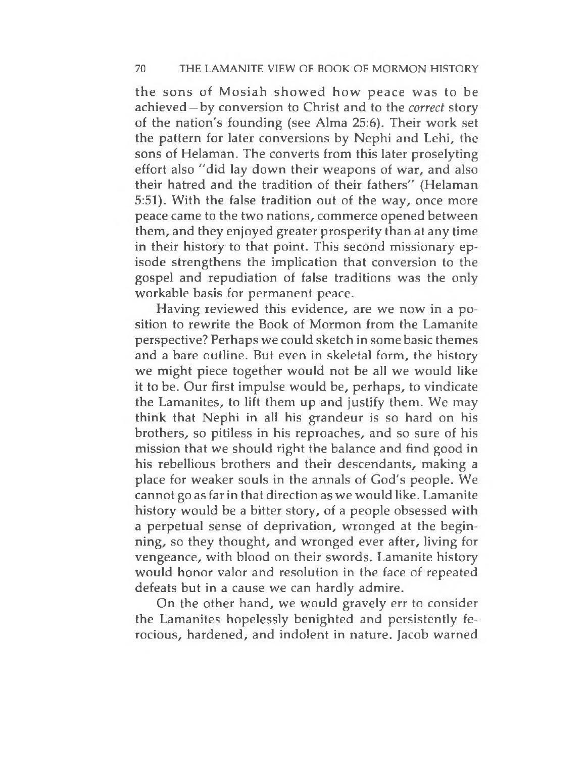the sons of Mosiah showed how peace was to be achieved —by conversion to Christ and to the *correct* story of the nation's founding (see Alma 25:6). Their work set the pattern for later conversions by Nephi and Lehi, the sons of Helaman. The converts from this later proselyting effort also "did lay down their weapons of war, and also their hatred and the tradition of their fathers" (Helaman 5:51). With the false tradition out of the way, once more peace came to the two nations, commerce opened between them, and they enjoyed greater prosperity than at any time in their history to that point. This second missionary episode strengthens the implication that conversion to the gospel and repudiation of false traditions was the only workable basis for permanent peace.

Having reviewed this evidence, are we now in a position to rewrite the Book of Mormon from the Lamanite perspective? Perhaps we could sketch in some basic themes and a bare outline. But even in skeletal form, the history we might piece together would not be all we would like it to be. Our first impulse would be, perhaps, to vindicate the Lamanites, to lift them up and justify them. We may think that Nephi in all his grandeur is so hard on his brothers, so pitiless in his reproaches, and so sure of his mission that we should right the balance and find good in his rebellious brothers and their descendants, making a place for weaker souls in the annals of God's people. We cannot go as far in that direction as we would like. Lamanite history would be a bitter story, of a people obsessed with a perpetual sense of deprivation, wronged at the beginning, so they thought, and wronged ever after, living for vengeance, with blood on their swords. Lamanite history would honor valor and resolution in the face of repeated defeats but in a cause we can hardly admire.

On the other hand, we would gravely err to consider the Lamanites hopelessly benighted and persistently ferocious, hardened, and indolent in nature. Jacob warned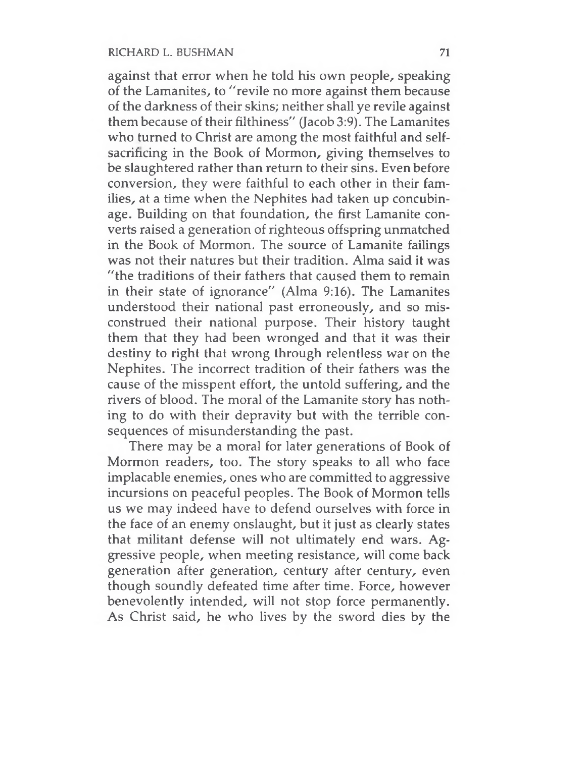against that error when he told his own people, speaking of the Lamanites, to "revile no more against them because of the darkness of their skins; neither shall ye revile against them because of their filthiness" (Jacob 3:9). The Lamanites who turned to Christ are among the most faithful and selfsacrificing in the Book of Mormon, giving themselves to be slaughtered rather than return to their sins. Even before conversion, they were faithful to each other in their families, at a time when the Nephites had taken up concubinage. Building on that foundation, the first Lamanite converts raised a generation of righteous offspring unmatched in the Book of Mormon. The source of Lamanite failings was not their natures but their tradition. Alma said it was "the traditions of their fathers that caused them to remain in their state of ignorance" (Alma 9:16). The Lamanites understood their national past erroneously, and so misconstrued their national purpose. Their history taught them that they had been wronged and that it was their destiny to right that wrong through relentless war on the Nephites. The incorrect tradition of their fathers was the cause of the misspent effort, the untold suffering, and the rivers of blood. The moral of the Lamanite story has nothing to do with their depravity but with the terrible consequences of misunderstanding the past.

There may be a moral for later generations of Book of Mormon readers, too. The story speaks to all who face implacable enemies, ones who are committed to aggressive incursions on peaceful peoples. The Book of Mormon tells us we may indeed have to defend ourselves with force in the face of an enemy onslaught, but it just as clearly states that militant defense will not ultimately end wars. Aggressive people, when meeting resistance, will come back generation after generation, century after century, even though soundly defeated time after time. Force, however benevolently intended, will not stop force permanently. As Christ said, he who lives by the sword dies by the